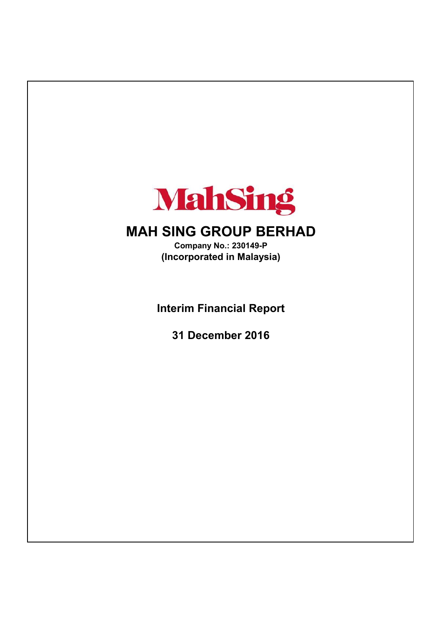

# **MAH SING GROUP BERHAD**

**(Incorporated in Malaysia) Company No.: 230149-P**

**Interim Financial Report**

**31 December 2016**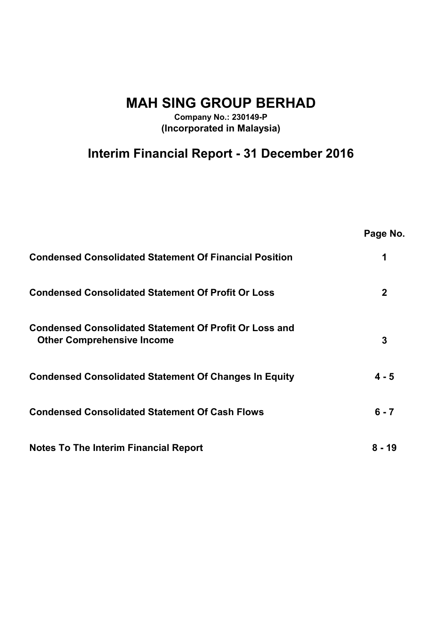**MAH SING GROUP BERHAD**

**Company No.: 230149-P (Incorporated in Malaysia)**

# **Interim Financial Report - 31 December 2016**

|                                                                                                    | Page No.    |
|----------------------------------------------------------------------------------------------------|-------------|
| <b>Condensed Consolidated Statement Of Financial Position</b>                                      | 1           |
| <b>Condensed Consolidated Statement Of Profit Or Loss</b>                                          | $\mathbf 2$ |
| <b>Condensed Consolidated Statement Of Profit Or Loss and</b><br><b>Other Comprehensive Income</b> | 3           |
| <b>Condensed Consolidated Statement Of Changes In Equity</b>                                       | $4 - 5$     |
| <b>Condensed Consolidated Statement Of Cash Flows</b>                                              | $6 - 7$     |
| <b>Notes To The Interim Financial Report</b>                                                       | 8 - 19      |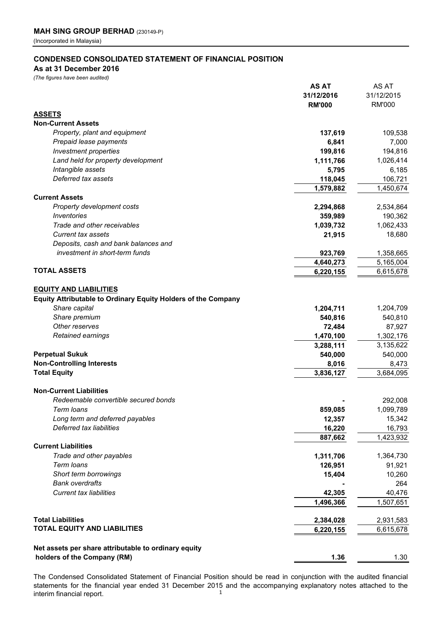#### **CONDENSED CONSOLIDATED STATEMENT OF FINANCIAL POSITION**

#### **As at 31 December 2016**

*(The figures have been audited)*

|                                                               | AS AT<br>31/12/2016<br><b>RM'000</b> | AS AT<br>31/12/2015<br><b>RM'000</b> |
|---------------------------------------------------------------|--------------------------------------|--------------------------------------|
| <b>ASSETS</b>                                                 |                                      |                                      |
| <b>Non-Current Assets</b>                                     |                                      |                                      |
| Property, plant and equipment                                 | 137,619                              | 109,538                              |
| Prepaid lease payments                                        | 6,841                                | 7,000                                |
| <b>Investment properties</b>                                  | 199,816                              | 194,816                              |
| Land held for property development                            | 1,111,766                            | 1,026,414                            |
| Intangible assets                                             | 5,795                                | 6,185                                |
| Deferred tax assets                                           | 118,045                              | 106,721                              |
|                                                               | 1,579,882                            | 1,450,674                            |
| <b>Current Assets</b>                                         |                                      |                                      |
| Property development costs                                    | 2,294,868                            | 2,534,864                            |
| <i><u><b>Inventories</b></u></i>                              | 359,989                              | 190,362                              |
| Trade and other receivables                                   | 1,039,732                            | 1,062,433                            |
| <b>Current tax assets</b>                                     | 21,915                               | 18,680                               |
| Deposits, cash and bank balances and                          |                                      |                                      |
| investment in short-term funds                                | 923,769                              | 1,358,665                            |
|                                                               | 4,640,273                            | 5,165,004                            |
| <b>TOTAL ASSETS</b>                                           | 6,220,155                            | 6,615,678                            |
|                                                               |                                      |                                      |
| <b>EQUITY AND LIABILITIES</b>                                 |                                      |                                      |
| Equity Attributable to Ordinary Equity Holders of the Company |                                      |                                      |
| Share capital                                                 | 1,204,711                            | 1,204,709                            |
| Share premium                                                 | 540,816                              | 540,810                              |
| Other reserves                                                | 72,484                               | 87,927                               |
| Retained earnings                                             | 1,470,100                            | 1,302,176                            |
|                                                               | 3,288,111                            | 3,135,622                            |
| <b>Perpetual Sukuk</b>                                        | 540,000                              | 540,000                              |
| <b>Non-Controlling Interests</b>                              | 8,016                                | 8,473                                |
| <b>Total Equity</b>                                           | 3,836,127                            | 3,684,095                            |
|                                                               |                                      |                                      |
| <b>Non-Current Liabilities</b>                                |                                      |                                      |
| Redeemable convertible secured bonds                          |                                      | 292,008                              |
| Term loans                                                    | 859,085                              | 1,099,789                            |
| Long term and deferred payables                               | 12,357                               | 15,342                               |
| Deferred tax liabilities                                      | 16,220                               | 16,793                               |
|                                                               | 887,662                              | 1,423,932                            |
| <b>Current Liabilities</b>                                    |                                      |                                      |
| Trade and other payables                                      | 1,311,706                            | 1,364,730                            |
| Term loans                                                    | 126,951                              | 91,921                               |
| Short term borrowings                                         | 15,404                               | 10,260                               |
| <b>Bank overdrafts</b>                                        |                                      | 264                                  |
| <b>Current tax liabilities</b>                                | 42,305                               | 40,476                               |
|                                                               | 1,496,366                            | 1,507,651                            |
|                                                               |                                      |                                      |
| <b>Total Liabilities</b>                                      | 2,384,028                            | 2,931,583                            |
| <b>TOTAL EQUITY AND LIABILITIES</b>                           | 6,220,155                            | 6,615,678                            |
| Net assets per share attributable to ordinary equity          |                                      |                                      |
| holders of the Company (RM)                                   | 1.36                                 | 1.30                                 |
|                                                               |                                      |                                      |

The Condensed Consolidated Statement of Financial Position should be read in conjunction with the audited financial statements for the financial year ended 31 December 2015 and the accompanying explanatory notes attached to the interim financial report. 1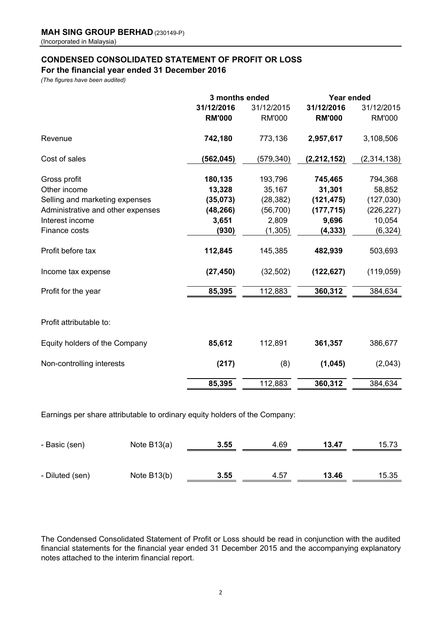# **CONDENSED CONSOLIDATED STATEMENT OF PROFIT OR LOSS For the financial year ended 31 December 2016**

*(The figures have been audited)*

|                                   | 3 months ended |               | Year ended    |               |  |
|-----------------------------------|----------------|---------------|---------------|---------------|--|
|                                   | 31/12/2016     | 31/12/2015    | 31/12/2016    | 31/12/2015    |  |
|                                   | <b>RM'000</b>  | <b>RM'000</b> | <b>RM'000</b> | <b>RM'000</b> |  |
| Revenue                           | 742,180        | 773,136       | 2,957,617     | 3,108,506     |  |
| Cost of sales                     | (562,045)      | (579, 340)    | (2, 212, 152) | (2,314,138)   |  |
| Gross profit                      | 180,135        | 193,796       | 745,465       | 794,368       |  |
| Other income                      | 13,328         | 35,167        | 31,301        | 58,852        |  |
| Selling and marketing expenses    | (35,073)       | (28, 382)     | (121, 475)    | (127, 030)    |  |
| Administrative and other expenses | (48, 266)      | (56, 700)     | (177, 715)    | (226, 227)    |  |
| Interest income                   | 3,651          | 2,809         | 9,696         | 10,054        |  |
| Finance costs                     | (930)          | (1, 305)      | (4, 333)      | (6, 324)      |  |
| Profit before tax                 | 112,845        | 145,385       | 482,939       | 503,693       |  |
| Income tax expense                | (27, 450)      | (32, 502)     | (122, 627)    | (119,059)     |  |
| Profit for the year               | 85,395         | 112,883       | 360,312       | 384,634       |  |
| Profit attributable to:           |                |               |               |               |  |
| Equity holders of the Company     | 85,612         | 112,891       | 361,357       | 386,677       |  |
| Non-controlling interests         | (217)          | (8)           | (1,045)       | (2,043)       |  |
|                                   | 85,395         | 112,883       | 360,312       | 384,634       |  |

Earnings per share attributable to ordinary equity holders of the Company:

| - Basic (sen)   | Note $B13(a)$ | 3.55 | 4.69 | 13.47 | 15.73 |
|-----------------|---------------|------|------|-------|-------|
| - Diluted (sen) | Note $B13(b)$ | 3.55 | 4.57 | 13.46 | 15.35 |

The Condensed Consolidated Statement of Profit or Loss should be read in conjunction with the audited financial statements for the financial year ended 31 December 2015 and the accompanying explanatory notes attached to the interim financial report.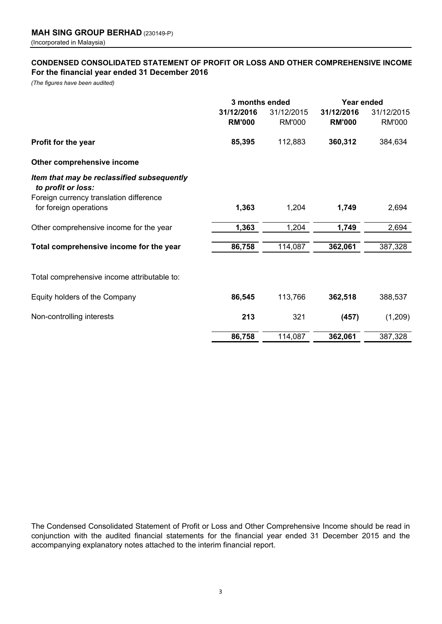# **CONDENSED CONSOLIDATED STATEMENT OF PROFIT OR LOSS AND OTHER COMPREHENSIVE INCOME For the financial year ended 31 December 2016**

*(The figures have been audited)*

|                                                                  | 3 months ended |               | Year ended    |               |  |
|------------------------------------------------------------------|----------------|---------------|---------------|---------------|--|
|                                                                  | 31/12/2016     | 31/12/2015    | 31/12/2016    | 31/12/2015    |  |
|                                                                  | <b>RM'000</b>  | <b>RM'000</b> | <b>RM'000</b> | <b>RM'000</b> |  |
| Profit for the year                                              | 85,395         | 112,883       | 360,312       | 384,634       |  |
| Other comprehensive income                                       |                |               |               |               |  |
| Item that may be reclassified subsequently<br>to profit or loss: |                |               |               |               |  |
| Foreign currency translation difference                          |                |               |               |               |  |
| for foreign operations                                           | 1,363          | 1,204         | 1,749         | 2,694         |  |
| Other comprehensive income for the year                          | 1,363          | 1,204         | 1,749         | 2,694         |  |
| Total comprehensive income for the year                          | 86,758         | 114,087       | 362,061       | 387,328       |  |
|                                                                  |                |               |               |               |  |
| Total comprehensive income attributable to:                      |                |               |               |               |  |
| Equity holders of the Company                                    | 86,545         | 113,766       | 362,518       | 388,537       |  |
| Non-controlling interests                                        | 213            | 321           | (457)         | (1,209)       |  |
|                                                                  | 86,758         | 114,087       | 362,061       | 387,328       |  |

The Condensed Consolidated Statement of Profit or Loss and Other Comprehensive Income should be read in conjunction with the audited financial statements for the financial year ended 31 December 2015 and the accompanying explanatory notes attached to the interim financial report.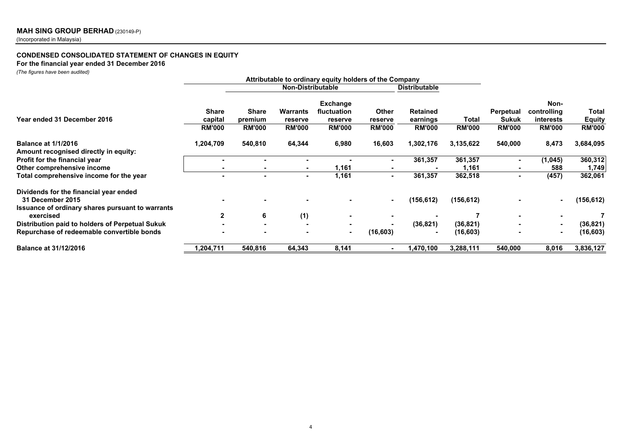#### **CONDENSED CONSOLIDATED STATEMENT OF CHANGES IN EQUITYFor the financial year ended 31 December 2016**

*(The figures have been audited)*

| $(110$ ngares nave been addited $(2)$                               |                |                                                                                                     |                 |                 |                |                 |               |                  |                          |               |
|---------------------------------------------------------------------|----------------|-----------------------------------------------------------------------------------------------------|-----------------|-----------------|----------------|-----------------|---------------|------------------|--------------------------|---------------|
|                                                                     |                | Attributable to ordinary equity holders of the Company<br>Non-Distributable<br><b>Distributable</b> |                 |                 |                |                 |               |                  |                          |               |
|                                                                     |                |                                                                                                     |                 | <b>Exchange</b> |                |                 |               |                  | Non-                     |               |
|                                                                     | <b>Share</b>   | Share                                                                                               | <b>Warrants</b> | fluctuation     | <b>Other</b>   | <b>Retained</b> |               | <b>Perpetual</b> | controlling              | Total         |
| Year ended 31 December 2016                                         | capital        | premium                                                                                             | reserve         | reserve         | reserve        | earnings        | Total         | <b>Sukuk</b>     | <b>interests</b>         | <b>Equity</b> |
|                                                                     | <b>RM'000</b>  | <b>RM'000</b>                                                                                       | <b>RM'000</b>   | <b>RM'000</b>   | <b>RM'000</b>  | <b>RM'000</b>   | <b>RM'000</b> | <b>RM'000</b>    | <b>RM'000</b>            | <b>RM'000</b> |
| <b>Balance at 1/1/2016</b><br>Amount recognised directly in equity: | 1,204,709      | 540,810                                                                                             | 64,344          | 6,980           | 16,603         | 1,302,176       | 3,135,622     | 540,000          | 8,473                    | 3,684,095     |
| Profit for the financial year                                       |                |                                                                                                     |                 |                 | $\blacksquare$ | 361,357         | 361,357       |                  | (1, 045)                 | 360,312       |
| Other comprehensive income                                          |                |                                                                                                     |                 | 1,161           |                |                 | 1,161         |                  | 588                      | 1,749         |
| Total comprehensive income for the year                             | $\blacksquare$ | ۰                                                                                                   | ۰.              | 1,161           | $\blacksquare$ | 361,357         | 362,518       | $\blacksquare$   | (457)                    | 362,061       |
| Dividends for the financial year ended                              |                |                                                                                                     |                 |                 |                |                 |               |                  |                          |               |
| 31 December 2015                                                    |                |                                                                                                     |                 |                 | $\blacksquare$ | (156,612)       | (156, 612)    |                  |                          | (156, 612)    |
| Issuance of ordinary shares pursuant to warrants                    |                |                                                                                                     |                 |                 |                |                 |               |                  |                          |               |
| exercised                                                           | 2              | 6                                                                                                   | (1)             |                 |                |                 |               |                  |                          |               |
| Distribution paid to holders of Perpetual Sukuk                     |                |                                                                                                     |                 |                 | $\blacksquare$ | (36, 821)       | (36, 821)     |                  | $\overline{\phantom{0}}$ | (36, 821)     |
| Repurchase of redeemable convertible bonds                          |                |                                                                                                     |                 | $\blacksquare$  | (16,603)       |                 | (16,603)      |                  | . .                      | (16, 603)     |
| <b>Balance at 31/12/2016</b>                                        | ,204,711       | 540,816                                                                                             | 64,343          | 8,141           |                | 1,470,100       | 3,288,111     | 540,000          | 8,016                    | 3,836,127     |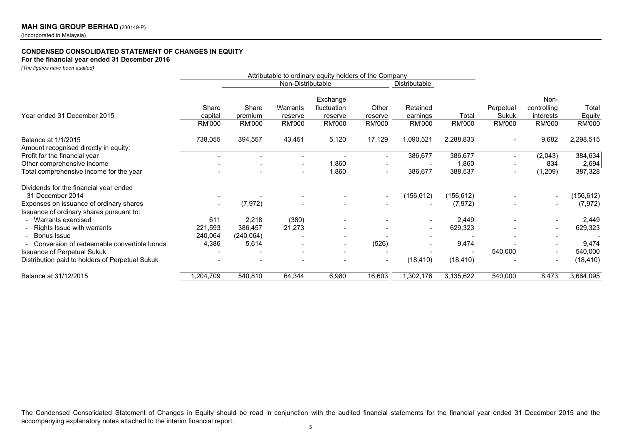#### **CONDENSED CONSOLIDATED STATEMENT OF CHANGES IN EQUITY**

**For the financial year ended 31 December 2016**

*(The figures have been audited)*

|                                                 | Attributable to ordinary equity holders of the Company |                   |                          |               |                          |                          |               |                          |                          |               |
|-------------------------------------------------|--------------------------------------------------------|-------------------|--------------------------|---------------|--------------------------|--------------------------|---------------|--------------------------|--------------------------|---------------|
|                                                 |                                                        | Non-Distributable |                          |               |                          | Distributable            |               |                          |                          |               |
|                                                 |                                                        |                   |                          | Exchange      |                          |                          |               |                          | Non-                     |               |
|                                                 | Share                                                  | Share             | Warrants                 | fluctuation   | Other                    | Retained                 |               | Perpetual                | controlling              | Total         |
| Year ended 31 December 2015                     | capital                                                | premium           | reserve                  | reserve       | reserve                  | earnings                 | Total         | Sukuk                    | interests                | Equity        |
|                                                 | <b>RM'000</b>                                          | RM'000            | <b>RM'000</b>            | <b>RM'000</b> | <b>RM'000</b>            | RM'000                   | <b>RM'000</b> | <b>RM'000</b>            | RM'000                   | <b>RM'000</b> |
| Balance at 1/1/2015                             | 738,055                                                | 394,557           | 43,451                   | 5,120         | 17,129                   | 1,090,521                | 2,288,833     | $\overline{\phantom{a}}$ | 9,682                    | 2,298,515     |
| Amount recognised directly in equity:           |                                                        |                   |                          |               |                          |                          |               |                          |                          |               |
| Profit for the financial year                   |                                                        |                   | $\blacksquare$           |               | $\overline{\phantom{a}}$ | 386,677                  | 386,677       | $\overline{\phantom{a}}$ | (2,043)                  | 384,634       |
| Other comprehensive income                      |                                                        |                   | $\overline{\phantom{a}}$ | 1,860         |                          |                          | 1,860         |                          | 834                      | 2,694         |
| Total comprehensive income for the year         |                                                        |                   | $\overline{\phantom{a}}$ | 1,860         | $\overline{\phantom{a}}$ | 386,677                  | 388,537       | $\overline{\phantom{a}}$ | (1,209)                  | 387,328       |
| Dividends for the financial year ended          |                                                        |                   |                          |               |                          |                          |               |                          |                          |               |
| 31 December 2014                                |                                                        |                   |                          |               | $\overline{\phantom{a}}$ | (156, 612)               | (156, 612)    |                          |                          | (156, 612)    |
| Expenses on issuance of ordinary shares         |                                                        | (7, 972)          |                          |               |                          |                          | (7, 972)      |                          |                          | (7, 972)      |
| Issuance of ordinary shares pursuant to:        |                                                        |                   |                          |               |                          |                          |               |                          |                          |               |
| - Warrants exercised                            | 611                                                    | 2,218             | (380)                    |               |                          |                          | 2,449         |                          |                          | 2,449         |
| - Rights Issue with warrants                    | 221,593                                                | 386,457           | 21,273                   |               |                          | $\overline{\phantom{a}}$ | 629,323       |                          |                          | 629,323       |
| - Bonus Issue                                   | 240,064                                                | (240, 064)        |                          |               |                          |                          |               |                          |                          |               |
| - Conversion of redeemable convertible bonds    | 4,386                                                  | 5,614             |                          |               | (526)                    |                          | 9,474         |                          |                          | 9,474         |
| Issuance of Perpetual Sukuk                     |                                                        |                   |                          |               |                          |                          |               | 540,000                  |                          | 540,000       |
| Distribution paid to holders of Perpetual Sukuk |                                                        |                   |                          |               | $\overline{\phantom{a}}$ | (18, 410)                | (18, 410)     |                          | $\overline{\phantom{a}}$ | (18, 410)     |
| Balance at 31/12/2015                           | 1,204,709                                              | 540,810           | 64,344                   | 6,980         | 16,603                   | 1,302,176                | 3,135,622     | 540,000                  | 8,473                    | 3,684,095     |

The Condensed Consolidated Statement of Changes in Equity should be read in conjunction with the audited financial statements for the financial year ended <sup>31</sup> December <sup>2015</sup> and the accompanying explanatory notes attached to the interim financial report.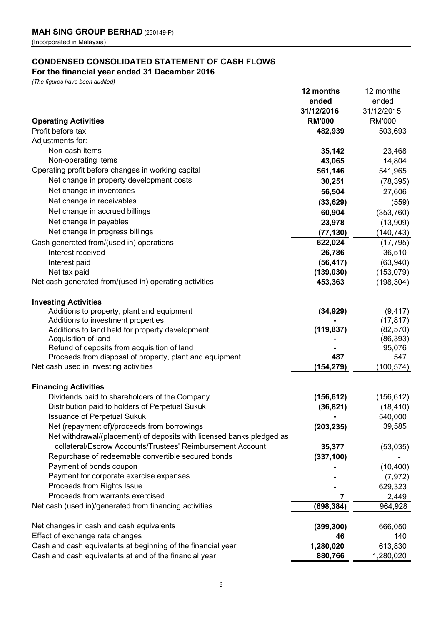# **CONDENSED CONSOLIDATED STATEMENT OF CASH FLOWS**

# **For the financial year ended 31 December 2016**

*(The figures have been audited)*

|                                                                       | 12 months     | 12 months     |
|-----------------------------------------------------------------------|---------------|---------------|
|                                                                       | ended         | ended         |
|                                                                       | 31/12/2016    | 31/12/2015    |
| <b>Operating Activities</b>                                           | <b>RM'000</b> | <b>RM'000</b> |
| Profit before tax                                                     | 482,939       | 503,693       |
| Adjustments for:                                                      |               |               |
| Non-cash items                                                        | 35,142        | 23,468        |
| Non-operating items                                                   | 43,065        | 14,804        |
| Operating profit before changes in working capital                    | 561,146       | 541,965       |
| Net change in property development costs                              | 30,251        | (78, 395)     |
| Net change in inventories                                             | 56,504        | 27,606        |
| Net change in receivables                                             | (33, 629)     | (559)         |
| Net change in accrued billings                                        | 60,904        | (353, 760)    |
| Net change in payables                                                | 23,978        | (13,909)      |
| Net change in progress billings                                       | (77, 130)     | (140, 743)    |
| Cash generated from/(used in) operations                              | 622,024       | (17, 795)     |
| Interest received                                                     | 26,786        | 36,510        |
| Interest paid                                                         | (56, 417)     | (63,940)      |
| Net tax paid                                                          | (139, 030)    | (153,079)     |
| Net cash generated from/(used in) operating activities                | 453,363       | (198, 304)    |
|                                                                       |               |               |
| <b>Investing Activities</b>                                           |               |               |
| Additions to property, plant and equipment                            | (34, 929)     | (9, 417)      |
| Additions to investment properties                                    |               | (17, 817)     |
| Additions to land held for property development                       | (119, 837)    | (82, 570)     |
| Acquisition of land                                                   |               | (86, 393)     |
| Refund of deposits from acquisition of land                           |               | 95,076        |
| Proceeds from disposal of property, plant and equipment               | 487           | 547           |
| Net cash used in investing activities                                 | (154, 279)    | (100, 574)    |
| <b>Financing Activities</b>                                           |               |               |
| Dividends paid to shareholders of the Company                         | (156, 612)    | (156, 612)    |
| Distribution paid to holders of Perpetual Sukuk                       | (36, 821)     | (18, 410)     |
| <b>Issuance of Perpetual Sukuk</b>                                    |               | 540,000       |
| Net (repayment of)/proceeds from borrowings                           | (203, 235)    | 39,585        |
| Net withdrawal/(placement) of deposits with licensed banks pledged as |               |               |
| collateral/Escrow Accounts/Trustees' Reimbursement Account            | 35,377        | (53,035)      |
| Repurchase of redeemable convertible secured bonds                    | (337, 100)    |               |
| Payment of bonds coupon                                               |               | (10, 400)     |
| Payment for corporate exercise expenses                               |               | (7, 972)      |
| Proceeds from Rights Issue                                            |               | 629,323       |
| Proceeds from warrants exercised                                      |               | 2,449         |
| Net cash (used in)/generated from financing activities                | (698, 384)    | 964,928       |
|                                                                       |               |               |
| Net changes in cash and cash equivalents                              | (399, 300)    | 666,050       |
| Effect of exchange rate changes                                       | 46            | 140           |
| Cash and cash equivalents at beginning of the financial year          | 1,280,020     | 613,830       |
| Cash and cash equivalents at end of the financial year                | 880,766       | 1,280,020     |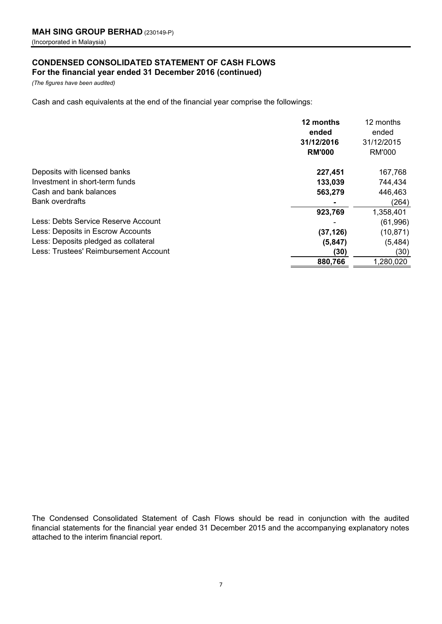# **CONDENSED CONSOLIDATED STATEMENT OF CASH FLOWS For the financial year ended 31 December 2016 (continued)**

*(The figures have been audited)*

Cash and cash equivalents at the end of the financial year comprise the followings:

|                                       | 12 months<br>ended<br>31/12/2016<br><b>RM'000</b> | 12 months<br>ended<br>31/12/2015<br>RM'000 |
|---------------------------------------|---------------------------------------------------|--------------------------------------------|
| Deposits with licensed banks          | 227,451                                           | 167,768                                    |
| Investment in short-term funds        | 133,039                                           | 744,434                                    |
| Cash and bank balances                | 563,279                                           | 446,463                                    |
| <b>Bank overdrafts</b>                |                                                   | (264)                                      |
|                                       | 923,769                                           | 1,358,401                                  |
| Less: Debts Service Reserve Account   |                                                   | (61,996)                                   |
| Less: Deposits in Escrow Accounts     | (37, 126)                                         | (10, 871)                                  |
| Less: Deposits pledged as collateral  | (5, 847)                                          | (5, 484)                                   |
| Less: Trustees' Reimbursement Account | (30)                                              | (30)                                       |
|                                       | 880,766                                           | 1,280,020                                  |

The Condensed Consolidated Statement of Cash Flows should be read in conjunction with the audited financial statements for the financial year ended 31 December 2015 and the accompanying explanatory notes attached to the interim financial report.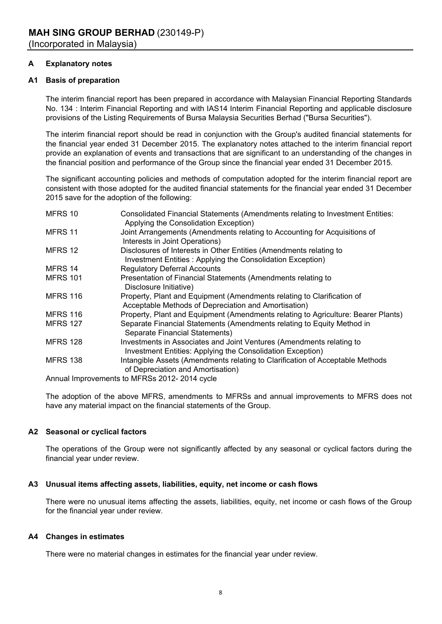# **A Explanatory notes**

# **A1 Basis of preparation**

The interim financial report has been prepared in accordance with Malaysian Financial Reporting Standards No. 134 : Interim Financial Reporting and with IAS14 Interim Financial Reporting and applicable disclosure provisions of the Listing Requirements of Bursa Malaysia Securities Berhad ("Bursa Securities").

The interim financial report should be read in conjunction with the Group's audited financial statements for the financial year ended 31 December 2015. The explanatory notes attached to the interim financial report provide an explanation of events and transactions that are significant to an understanding of the changes in the financial position and performance of the Group since the financial year ended 31 December 2015.

The significant accounting policies and methods of computation adopted for the interim financial report are consistent with those adopted for the audited financial statements for the financial year ended 31 December 2015 save for the adoption of the following:

| MFRS 10         | Consolidated Financial Statements (Amendments relating to Investment Entities:<br>Applying the Consolidation Exception)            |
|-----------------|------------------------------------------------------------------------------------------------------------------------------------|
| MFRS 11         | Joint Arrangements (Amendments relating to Accounting for Acquisitions of<br>Interests in Joint Operations)                        |
| MFRS 12         | Disclosures of Interests in Other Entities (Amendments relating to<br>Investment Entities: Applying the Consolidation Exception)   |
| MFRS 14         | <b>Regulatory Deferral Accounts</b>                                                                                                |
| <b>MFRS 101</b> | Presentation of Financial Statements (Amendments relating to<br>Disclosure Initiative)                                             |
| <b>MFRS 116</b> | Property, Plant and Equipment (Amendments relating to Clarification of<br>Acceptable Methods of Depreciation and Amortisation)     |
| <b>MFRS 116</b> | Property, Plant and Equipment (Amendments relating to Agriculture: Bearer Plants)                                                  |
| <b>MFRS 127</b> | Separate Financial Statements (Amendments relating to Equity Method in<br>Separate Financial Statements)                           |
| <b>MFRS 128</b> | Investments in Associates and Joint Ventures (Amendments relating to<br>Investment Entities: Applying the Consolidation Exception) |
| <b>MFRS 138</b> | Intangible Assets (Amendments relating to Clarification of Acceptable Methods<br>of Depreciation and Amortisation)                 |
|                 | Annual Improvements to MEDSs 2012, 2014 system                                                                                     |

Annual Improvements to MFRSs 2012- 2014 cycle

The adoption of the above MFRS, amendments to MFRSs and annual improvements to MFRS does not have any material impact on the financial statements of the Group.

# **A2 Seasonal or cyclical factors**

The operations of the Group were not significantly affected by any seasonal or cyclical factors during the financial year under review.

# **A3 Unusual items affecting assets, liabilities, equity, net income or cash flows**

There were no unusual items affecting the assets, liabilities, equity, net income or cash flows of the Group for the financial year under review.

# **A4 Changes in estimates**

There were no material changes in estimates for the financial year under review.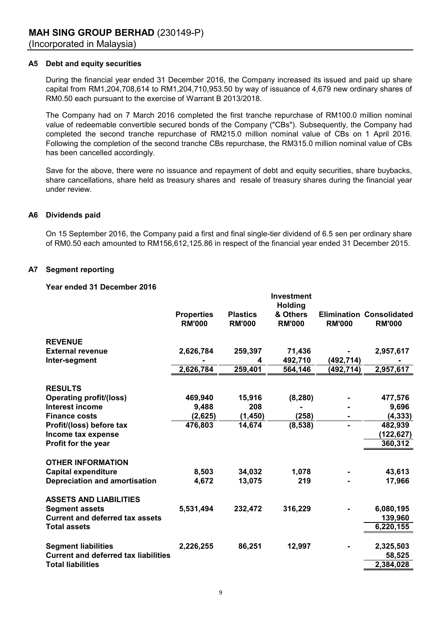### **A5 Debt and equity securities**

During the financial year ended 31 December 2016, the Company increased its issued and paid up share capital from RM1,204,708,614 to RM1,204,710,953.50 by way of issuance of 4,679 new ordinary shares of RM0.50 each pursuant to the exercise of Warrant B 2013/2018.

The Company had on 7 March 2016 completed the first tranche repurchase of RM100.0 million nominal value of redeemable convertible secured bonds of the Company ("CBs"). Subsequently, the Company had completed the second tranche repurchase of RM215.0 million nominal value of CBs on 1 April 2016. Following the completion of the second tranche CBs repurchase, the RM315.0 million nominal value of CBs has been cancelled accordingly.

Save for the above, there were no issuance and repayment of debt and equity securities, share buybacks, share cancellations, share held as treasury shares and resale of treasury shares during the financial year under review.

#### **A6 Dividends paid**

On 15 September 2016, the Company paid a first and final single-tier dividend of 6.5 sen per ordinary share of RM0.50 each amounted to RM156,612,125.86 in respect of the financial year ended 31 December 2015.

#### **A7 Segment reporting**

#### **Year ended 31 December 2016**

|                                             |                                    |                                  | <b>Investment</b>                           |                |                                                  |
|---------------------------------------------|------------------------------------|----------------------------------|---------------------------------------------|----------------|--------------------------------------------------|
|                                             | <b>Properties</b><br><b>RM'000</b> | <b>Plastics</b><br><b>RM'000</b> | <b>Holding</b><br>& Others<br><b>RM'000</b> | <b>RM'000</b>  | <b>Elimination Consolidated</b><br><b>RM'000</b> |
| <b>REVENUE</b>                              |                                    |                                  |                                             |                |                                                  |
| <b>External revenue</b>                     | 2,626,784                          | 259,397                          | 71,436                                      |                | 2,957,617                                        |
| Inter-segment                               |                                    | 4                                | 492,710                                     | (492,714)      |                                                  |
|                                             | 2,626,784                          | 259,401                          | 564,146                                     | (492, 714)     | 2,957,617                                        |
| <b>RESULTS</b>                              |                                    |                                  |                                             |                |                                                  |
| <b>Operating profit/(loss)</b>              | 469,940                            | 15,916                           | (8, 280)                                    |                | 477,576                                          |
| Interest income                             | 9,488                              | 208                              |                                             |                | 9,696                                            |
| <b>Finance costs</b>                        | (2,625)                            | (1, 450)                         | (258)                                       |                | (4, 333)                                         |
| Profit/(loss) before tax                    | 476,803                            | 14,674                           | (8,538)                                     | $\blacksquare$ | 482,939                                          |
| Income tax expense                          |                                    |                                  |                                             |                | (122, 627)                                       |
| Profit for the year                         |                                    |                                  |                                             |                | 360,312                                          |
| <b>OTHER INFORMATION</b>                    |                                    |                                  |                                             |                |                                                  |
| <b>Capital expenditure</b>                  | 8,503                              | 34,032                           | 1,078                                       |                | 43,613                                           |
| <b>Depreciation and amortisation</b>        | 4,672                              | 13,075                           | 219                                         |                | 17,966                                           |
| <b>ASSETS AND LIABILITIES</b>               |                                    |                                  |                                             |                |                                                  |
| <b>Segment assets</b>                       | 5,531,494                          | 232,472                          | 316,229                                     |                | 6,080,195                                        |
| <b>Current and deferred tax assets</b>      |                                    |                                  |                                             |                | 139,960                                          |
| <b>Total assets</b>                         |                                    |                                  |                                             |                | 6,220,155                                        |
|                                             |                                    |                                  |                                             |                |                                                  |
| <b>Segment liabilities</b>                  | 2,226,255                          | 86,251                           | 12,997                                      |                | 2,325,503                                        |
| <b>Current and deferred tax liabilities</b> |                                    |                                  |                                             |                | 58,525                                           |
| <b>Total liabilities</b>                    |                                    |                                  |                                             |                | 2,384,028                                        |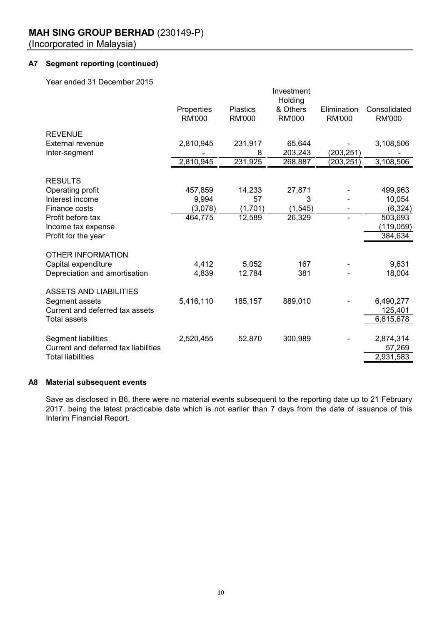# **A7 Segment reporting (continued)**

Year ended 31 December 2015

|                                      |               |                 | Investment<br>Holding |               |               |
|--------------------------------------|---------------|-----------------|-----------------------|---------------|---------------|
|                                      | Properties    | <b>Plastics</b> | & Others              | Elimination   | Consolidated  |
|                                      | <b>RM'000</b> | <b>RM'000</b>   | <b>RM'000</b>         | <b>RM'000</b> | <b>RM'000</b> |
| <b>REVENUE</b>                       |               |                 |                       |               |               |
| <b>External revenue</b>              | 2,810,945     | 231,917         | 65,644                |               | 3,108,506     |
| Inter-segment                        |               | 8               | 203,243               | (203, 251)    |               |
|                                      | 2,810,945     | 231,925         | 268,887               | (203, 251)    | 3,108,506     |
| <b>RESULTS</b>                       |               |                 |                       |               |               |
| Operating profit                     | 457,859       | 14,233          | 27,871                |               | 499,963       |
| Interest income                      | 9,994         | 57              | 3                     |               | 10,054        |
| Finance costs                        | (3,078)       | (1,701)         | (1, 545)              |               | (6, 324)      |
| Profit before tax                    | 464,775       | 12,589          | 26,329                |               | 503,693       |
| Income tax expense                   |               |                 |                       |               | (119, 059)    |
| Profit for the year                  |               |                 |                       |               | 384,634       |
| <b>OTHER INFORMATION</b>             |               |                 |                       |               |               |
| Capital expenditure                  | 4,412         | 5,052           | 167                   |               | 9,631         |
| Depreciation and amortisation        | 4,839         | 12,784          | 381                   |               | 18,004        |
| <b>ASSETS AND LIABILITIES</b>        |               |                 |                       |               |               |
| Segment assets                       | 5,416,110     | 185,157         | 889,010               |               | 6,490,277     |
| Current and deferred tax assets      |               |                 |                       |               | 125,401       |
| <b>Total assets</b>                  |               |                 |                       |               | 6,615,678     |
|                                      |               |                 |                       |               |               |
| Segment liabilities                  | 2,520,455     | 52,870          | 300,989               |               | 2,874,314     |
| Current and deferred tax liabilities |               |                 |                       |               | 57,269        |
| <b>Total liabilities</b>             |               |                 |                       |               | 2,931,583     |
|                                      |               |                 |                       |               |               |

# **A8 Material subsequent events**

Save as disclosed in B6, there were no material events subsequent to the reporting date up to 21 February 2017, being the latest practicable date which is not earlier than 7 days from the date of issuance of this Interim Financial Report.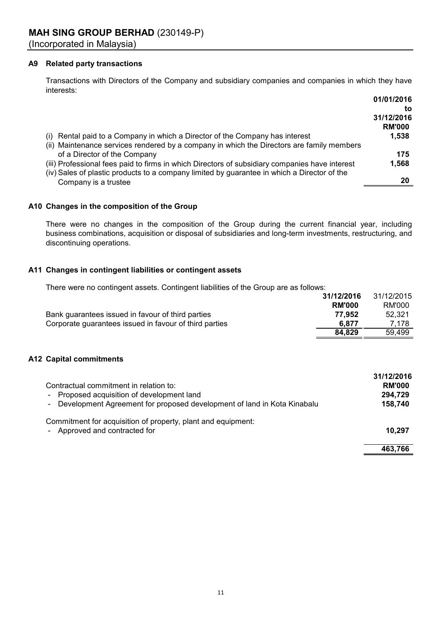# **A9 Related party transactions**

Transactions with Directors of the Company and subsidiary companies and companies in which they have interests:

|                                                                                                | 01/01/2016    |
|------------------------------------------------------------------------------------------------|---------------|
|                                                                                                | to            |
|                                                                                                | 31/12/2016    |
|                                                                                                | <b>RM'000</b> |
| (i) Rental paid to a Company in which a Director of the Company has interest                   | 1,538         |
| (ii) Maintenance services rendered by a company in which the Directors are family members      |               |
| of a Director of the Company                                                                   | 175           |
| (iii) Professional fees paid to firms in which Directors of subsidiary companies have interest | 1,568         |
| (iv) Sales of plastic products to a company limited by guarantee in which a Director of the    |               |
| Company is a trustee                                                                           | 20            |

# **A10 Changes in the composition of the Group**

There were no changes in the composition of the Group during the current financial year, including business combinations, acquisition or disposal of subsidiaries and long-term investments, restructuring, and discontinuing operations.

# **A11 Changes in contingent liabilities or contingent assets**

There were no contingent assets. Contingent liabilities of the Group are as follows:

|                                                        | 31/12/2016    | 31/12/2015 |
|--------------------------------------------------------|---------------|------------|
|                                                        | <b>RM'000</b> | RM'000     |
| Bank guarantees issued in favour of third parties      | 77.952        | 52.321     |
| Corporate guarantees issued in favour of third parties | 6.877         | 7.178      |
|                                                        | 84.829        | 59,499     |

# **A12 Capital commitments**

| Contractual commitment in relation to:<br>Proposed acquisition of development land<br>$\sim$<br>- Development Agreement for proposed development of land in Kota Kinabalu | 31/12/2016<br><b>RM'000</b><br>294,729<br>158,740 |
|---------------------------------------------------------------------------------------------------------------------------------------------------------------------------|---------------------------------------------------|
| Commitment for acquisition of property, plant and equipment:<br>- Approved and contracted for                                                                             | 10.297                                            |
|                                                                                                                                                                           | 463,766                                           |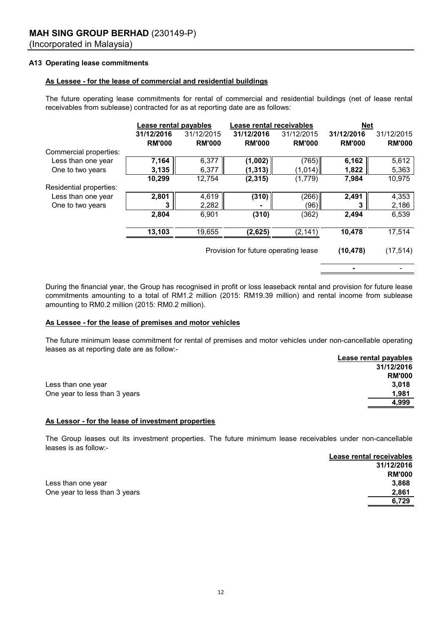# **A13 Operating lease commitments**

### **As Lessee - for the lease of commercial and residential buildings**

The future operating lease commitments for rental of commercial and residential buildings (net of lease rental receivables from sublease) contracted for as at reporting date are as follows:

|                         | Lease rental payables |               | Lease rental receivables             |               | <b>Net</b>    |               |
|-------------------------|-----------------------|---------------|--------------------------------------|---------------|---------------|---------------|
|                         | 31/12/2016            | 31/12/2015    | 31/12/2016                           | 31/12/2015    | 31/12/2016    | 31/12/2015    |
|                         | <b>RM'000</b>         | <b>RM'000</b> | <b>RM'000</b>                        | <b>RM'000</b> | <b>RM'000</b> | <b>RM'000</b> |
| Commercial properties:  |                       |               |                                      |               |               |               |
| Less than one year      | 7,164                 | 6,377         | (1,002)                              | (765)         | 6,162         | 5,612         |
| One to two years        | 3,135                 | 6,377         | (1, 313)                             | (1,014)       | 1,822         | 5,363         |
|                         | 10,299                | 12,754        | (2, 315)                             | (1,779)       | 7,984         | 10,975        |
| Residential properties: |                       |               |                                      |               |               |               |
| Less than one year      | 2,801                 | 4,619         | (310)                                | (266)         | 2,491         | 4,353         |
| One to two years        | 3                     | 2,282         |                                      | (96)          | 3             | 2,186         |
|                         | 2,804                 | 6,901         | (310)                                | (362)         | 2,494         | 6,539         |
|                         | 13,103                | 19,655        | (2,625)                              | (2, 141)      | 10,478        | 17,514        |
|                         |                       |               | Provision for future operating lease |               | (10, 478)     | (17, 514)     |
|                         |                       |               |                                      |               |               |               |

During the financial year, the Group has recognised in profit or loss leaseback rental and provision for future lease commitments amounting to a total of RM1.2 million (2015: RM19.39 million) and rental income from sublease amounting to RM0.2 million (2015: RM0.2 million).

#### **As Lessee - for the lease of premises and motor vehicles**

**Lease rental payables** The future minimum lease commitment for rental of premises and motor vehicles under non-cancellable operating leases as at reporting date are as follow:-

|                               | Lease rental payables |
|-------------------------------|-----------------------|
|                               | 31/12/2016            |
|                               | <b>RM'000</b>         |
| Less than one year            | 3.018                 |
| One year to less than 3 years | 1,981                 |
|                               | 4,999                 |
|                               |                       |

#### **As Lessor - for the lease of investment properties**

The Group leases out its investment properties. The future minimum lease receivables under non-cancellable leases is as follow:-

|                               | Lease rental receivables |
|-------------------------------|--------------------------|
|                               | 31/12/2016               |
|                               | <b>RM'000</b>            |
| Less than one year            | 3,868                    |
| One year to less than 3 years | 2.861                    |
|                               | 6.729                    |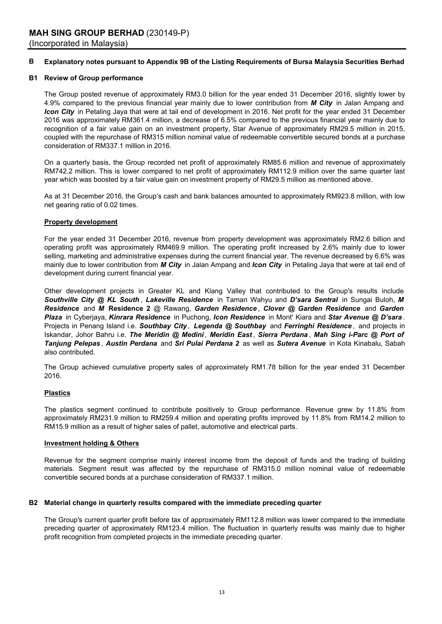#### **B Explanatory notes pursuant to Appendix 9B of the Listing Requirements of Bursa Malaysia Securities Berhad**

#### **B1 Review of Group performance**

The Group posted revenue of approximately RM3.0 billion for the year ended 31 December 2016, slightly lower by 4.9% compared to the previous financial year mainly due to lower contribution from *M City* in Jalan Ampang and *Icon City* in Petaling Jaya that were at tail end of development in 2016. Net profit for the year ended 31 December 2016 was approximately RM361.4 million, a decrease of 6.5% compared to the previous financial year mainly due to recognition of a fair value gain on an investment property, Star Avenue of approximately RM29.5 million in 2015, coupled with the repurchase of RM315 million nominal value of redeemable convertible secured bonds at a purchase consideration of RM337.1 million in 2016.

On a quarterly basis, the Group recorded net profit of approximately RM85.6 million and revenue of approximately RM742.2 million. This is lower compared to net profit of approximately RM112.9 million over the same quarter last year which was boosted by a fair value gain on investment property of RM29.5 million as mentioned above.

As at 31 December 2016, the Group's cash and bank balances amounted to approximately RM923.8 million, with low net gearing ratio of 0.02 times.

#### **Property development**

For the year ended 31 December 2016, revenue from property development was approximately RM2.6 billion and operating profit was approximately RM469.9 million. The operating profit increased by 2.6% mainly due to lower selling, marketing and administrative expenses during the current financial year. The revenue decreased by 6.6% was mainly due to lower contribution from *M City* in Jalan Ampang and *Icon City* in Petaling Jaya that were at tail end of development during current financial year.

Other development projects in Greater KL and Klang Valley that contributed to the Group's results include *Southville City @ KL South* , *Lakeville Residence* in Taman Wahyu and *D'sara Sentral* in Sungai Buloh, *M Residence* and *M* **Residence 2** @ Rawang, *Garden Residence* , *Clover @ Garden Residence* and *Garden Plaza* in Cyberjaya, *Kinrara Residence* in Puchong, *Icon Residence* in Mont' Kiara and *Star Avenue @ D'sara* . Projects in Penang Island i.e. *Southbay City , Legenda @ Southbay* and *Ferringhi Residence* , and projects in Iskandar, Johor Bahru i.e. *The Meridin @ Medini* , *Meridin East* , *Sierra Perdana* , *Mah Sing i-Parc @ Port of Tanjung Pelepas* , *Austin Perdana* and *Sri Pulai Perdana 2* as well as *Sutera Avenue* in Kota Kinabalu, Sabah also contributed.

The Group achieved cumulative property sales of approximately RM1.78 billion for the year ended 31 December 2016.

#### **Plastics**

The plastics segment continued to contribute positively to Group performance. Revenue grew by 11.8% from approximately RM231.9 million to RM259.4 million and operating profits improved by 11.8% from RM14.2 million to RM15.9 million as a result of higher sales of pallet, automotive and electrical parts.

#### **Investment holding & Others**

Revenue for the segment comprise mainly interest income from the deposit of funds and the trading of building materials. Segment result was affected by the repurchase of RM315.0 million nominal value of redeemable convertible secured bonds at a purchase consideration of RM337.1 million.

# **B2 Material change in quarterly results compared with the immediate preceding quarter**

The Group's current quarter profit before tax of approximately RM112.8 million was lower compared to the immediate preceding quarter of approximately RM123.4 million. The fluctuation in quarterly results was mainly due to higher profit recognition from completed projects in the immediate preceding quarter.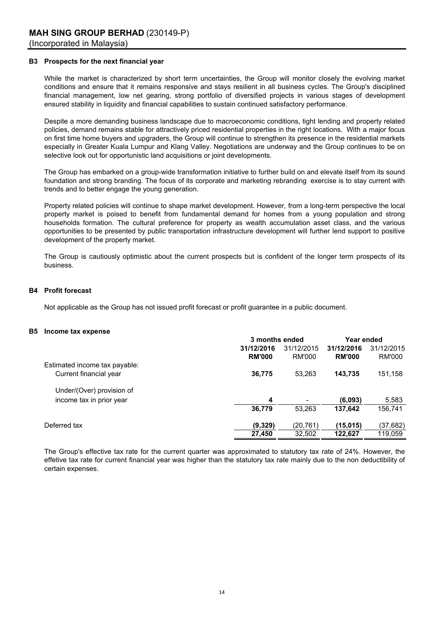#### **B3 Prospects for the next financial year**

While the market is characterized by short term uncertainties, the Group will monitor closely the evolving market conditions and ensure that it remains responsive and stays resilient in all business cycles. The Group's disciplined financial management, low net gearing, strong portfolio of diversified projects in various stages of development ensured stability in liquidity and financial capabilities to sustain continued satisfactory performance.

Despite a more demanding business landscape due to macroeconomic conditions, tight lending and property related policies, demand remains stable for attractively priced residential properties in the right locations. With a major focus on first time home buyers and upgraders, the Group will continue to strengthen its presence in the residential markets especially in Greater Kuala Lumpur and Klang Valley. Negotiations are underway and the Group continues to be on selective look out for opportunistic land acquisitions or joint developments.

The Group has embarked on a group-wide transformation initiative to further build on and elevate itself from its sound foundation and strong branding. The focus of its corporate and marketing rebranding exercise is to stay current with trends and to better engage the young generation.

Property related policies will continue to shape market development. However, from a long-term perspective the local property market is poised to benefit from fundamental demand for homes from a young population and strong households formation. The cultural preference for property as wealth accumulation asset class, and the various opportunities to be presented by public transportation infrastructure development will further lend support to positive development of the property market.

The Group is cautiously optimistic about the current prospects but is confident of the longer term prospects of its business.

#### **B4 Profit forecast**

Not applicable as the Group has not issued profit forecast or profit guarantee in a public document.

#### **B5 Income tax expense**

|                               | 3 months ended |            | Year ended    |            |
|-------------------------------|----------------|------------|---------------|------------|
|                               | 31/12/2016     | 31/12/2015 | 31/12/2016    | 31/12/2015 |
|                               | <b>RM'000</b>  | RM'000     | <b>RM'000</b> | RM'000     |
| Estimated income tax payable: |                |            |               |            |
| Current financial year        | 36,775         | 53.263     | 143,735       | 151,158    |
| Under/(Over) provision of     |                |            |               |            |
| income tax in prior year      | 4              | ٠          | (6,093)       | 5,583      |
|                               | 36,779         | 53.263     | 137,642       | 156,741    |
| Deferred tax                  | (9,329)        | (20,761)   | (15, 015)     | (37, 682)  |
|                               | 27,450         | 32,502     | 122,627       | 119,059    |

The Group's effective tax rate for the current quarter was approximated to statutory tax rate of 24%. However, the effetive tax rate for current financial year was higher than the statutory tax rate mainly due to the non deductibility of certain expenses.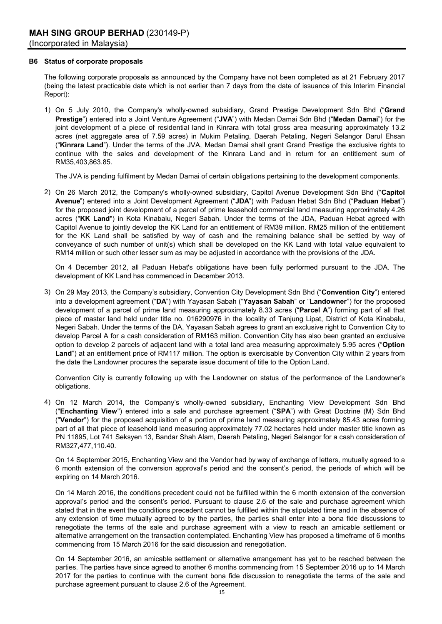#### **B6 Status of corporate proposals**

The following corporate proposals as announced by the Company have not been completed as at 21 February 2017 (being the latest practicable date which is not earlier than 7 days from the date of issuance of this Interim Financial Report):

1) On 5 July 2010, the Company's wholly-owned subsidiary, Grand Prestige Development Sdn Bhd ("**Grand Prestige**") entered into a Joint Venture Agreement ("**JVA**") with Medan Damai Sdn Bhd ("**Medan Damai**") for the joint development of a piece of residential land in Kinrara with total gross area measuring approximately 13.2 acres (net aggregate area of 7.59 acres) in Mukim Petaling, Daerah Petaling, Negeri Selangor Darul Ehsan ("**Kinrara Land**"). Under the terms of the JVA, Medan Damai shall grant Grand Prestige the exclusive rights to continue with the sales and development of the Kinrara Land and in return for an entitlement sum of RM35,403,863.85.

The JVA is pending fulfilment by Medan Damai of certain obligations pertaining to the development components.

2) On 26 March 2012, the Company's wholly-owned subsidiary, Capitol Avenue Development Sdn Bhd ("**Capitol Avenue**") entered into a Joint Development Agreement ("**JDA**") with Paduan Hebat Sdn Bhd ("**Paduan Hebat**") for the proposed joint development of a parcel of prime leasehold commercial land measuring approximately 4.26 acres ("**KK Land**") in Kota Kinabalu, Negeri Sabah. Under the terms of the JDA, Paduan Hebat agreed with Capitol Avenue to jointly develop the KK Land for an entitlement of RM39 million. RM25 million of the entitlement for the KK Land shall be satisfied by way of cash and the remaining balance shall be settled by way of conveyance of such number of unit(s) which shall be developed on the KK Land with total value equivalent to RM14 million or such other lesser sum as may be adjusted in accordance with the provisions of the JDA.

On 4 December 2012, all Paduan Hebat's obligations have been fully performed pursuant to the JDA. The development of KK Land has commenced in December 2013.

3) On 29 May 2013, the Company's subsidiary, Convention City Development Sdn Bhd ("**Convention City**") entered into a development agreement ("**DA**") with Yayasan Sabah ("**Yayasan Sabah**" or "**Landowner**") for the proposed development of a parcel of prime land measuring approximately 8.33 acres ("**Parcel A**") forming part of all that piece of master land held under title no. 016290976 in the locality of Tanjung Lipat, District of Kota Kinabalu, Negeri Sabah. Under the terms of the DA, Yayasan Sabah agrees to grant an exclusive right to Convention City to develop Parcel A for a cash consideration of RM163 million. Convention City has also been granted an exclusive option to develop 2 parcels of adjacent land with a total land area measuring approximately 5.95 acres ("**Option Land**") at an entitlement price of RM117 million. The option is exercisable by Convention City within 2 years from the date the Landowner procures the separate issue document of title to the Option Land.

Convention City is currently following up with the Landowner on status of the performance of the Landowner's obligations.

4) On 12 March 2014, the Company's wholly-owned subsidiary, Enchanting View Development Sdn Bhd ("**Enchanting View**") entered into a sale and purchase agreement ("**SPA**") with Great Doctrine (M) Sdn Bhd ("**Vendor**") for the proposed acquisition of a portion of prime land measuring approximately 85.43 acres forming part of all that piece of leasehold land measuring approximately 77.02 hectares held under master title known as PN 11895, Lot 741 Seksyen 13, Bandar Shah Alam, Daerah Petaling, Negeri Selangor for a cash consideration of RM327,477,110.40.

On 14 September 2015, Enchanting View and the Vendor had by way of exchange of letters, mutually agreed to a 6 month extension of the conversion approval's period and the consent's period, the periods of which will be expiring on 14 March 2016.

On 14 March 2016, the conditions precedent could not be fulfilled within the 6 month extension of the conversion approval's period and the consent's period. Pursuant to clause 2.6 of the sale and purchase agreement which stated that in the event the conditions precedent cannot be fulfilled within the stipulated time and in the absence of any extension of time mutually agreed to by the parties, the parties shall enter into a bona fide discussions to renegotiate the terms of the sale and purchase agreement with a view to reach an amicable settlement or alternative arrangement on the transaction contemplated. Enchanting View has proposed a timeframe of 6 months commencing from 15 March 2016 for the said discussion and renegotiation.

On 14 September 2016, an amicable settlement or alternative arrangement has yet to be reached between the parties. The parties have since agreed to another 6 months commencing from 15 September 2016 up to 14 March 2017 for the parties to continue with the current bona fide discussion to renegotiate the terms of the sale and purchase agreement pursuant to clause 2.6 of the Agreement.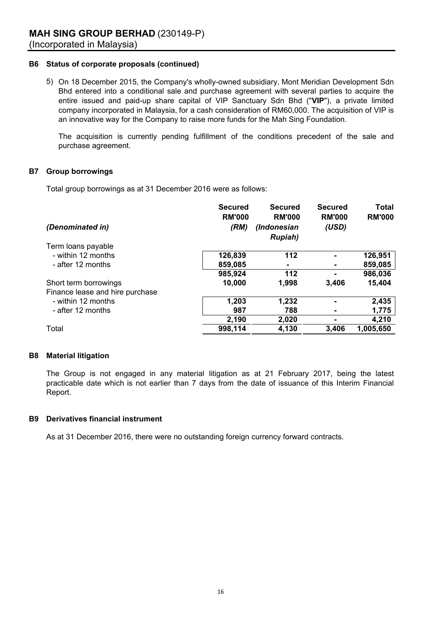# **B6 Status of corporate proposals (continued)**

5) On 18 December 2015, the Company's wholly-owned subsidiary, Mont Meridian Development Sdn Bhd entered into a conditional sale and purchase agreement with several parties to acquire the entire issued and paid-up share capital of VIP Sanctuary Sdn Bhd ("**VIP**"), a private limited company incorporated in Malaysia, for a cash consideration of RM60,000. The acquisition of VIP is an innovative way for the Company to raise more funds for the Mah Sing Foundation.

The acquisition is currently pending fulfillment of the conditions precedent of the sale and purchase agreement.

# **B7 Group borrowings**

Total group borrowings as at 31 December 2016 were as follows:

| (Denominated in)                | <b>Secured</b><br><b>RM'000</b><br>(RM) | <b>Secured</b><br><b>RM'000</b><br>(Indonesian<br><b>Rupiah</b> ) | <b>Secured</b><br><b>RM'000</b><br>(USD) | <b>Total</b><br><b>RM'000</b> |
|---------------------------------|-----------------------------------------|-------------------------------------------------------------------|------------------------------------------|-------------------------------|
| Term loans payable              |                                         |                                                                   |                                          |                               |
| - within 12 months              | 126,839                                 | 112                                                               |                                          | 126,951                       |
| - after 12 months               | 859,085                                 | ۰                                                                 |                                          | 859,085                       |
|                                 | 985,924                                 | 112                                                               |                                          | 986,036                       |
| Short term borrowings           | 10,000                                  | 1,998                                                             | 3,406                                    | 15,404                        |
| Finance lease and hire purchase |                                         |                                                                   |                                          |                               |
| - within 12 months              | 1,203                                   | 1,232                                                             |                                          | 2,435                         |
| - after 12 months               | 987                                     | 788                                                               |                                          | 1,775                         |
|                                 | 2,190                                   | 2,020                                                             |                                          | 4,210                         |
| Total                           | 998,114                                 | 4,130                                                             | 3,406                                    | 1,005,650                     |

# **B8 Material litigation**

The Group is not engaged in any material litigation as at 21 February 2017, being the latest practicable date which is not earlier than 7 days from the date of issuance of this Interim Financial Report.

# **B9 Derivatives financial instrument**

As at 31 December 2016, there were no outstanding foreign currency forward contracts.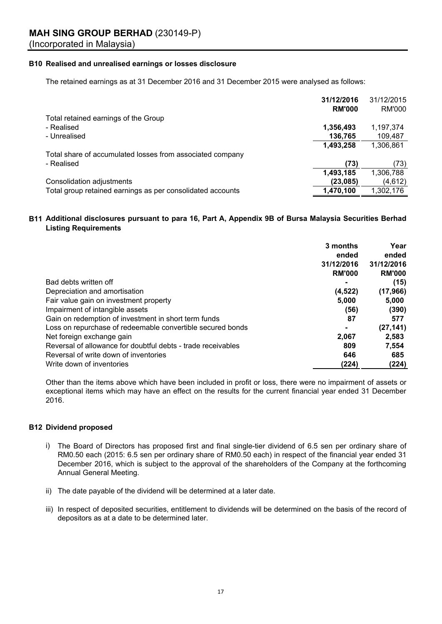# **MAH SING GROUP BERHAD** (230149-P)

(Incorporated in Malaysia)

# **B10 Realised and unrealised earnings or losses disclosure**

The retained earnings as at 31 December 2016 and 31 December 2015 were analysed as follows:

|                                                            | 31/12/2016    | 31/12/2015 |
|------------------------------------------------------------|---------------|------------|
|                                                            | <b>RM'000</b> | RM'000     |
| Total retained earnings of the Group                       |               |            |
| - Realised                                                 | 1,356,493     | 1,197,374  |
| - Unrealised                                               | 136,765       | 109,487    |
|                                                            | 1,493,258     | 1,306,861  |
| Total share of accumulated losses from associated company  |               |            |
| - Realised                                                 | (73)          | (73)       |
|                                                            | 1,493,185     | 1,306,788  |
| Consolidation adjustments                                  | (23,085)      | (4,612)    |
| Total group retained earnings as per consolidated accounts | 1,470,100     | 1,302,176  |

# **B11 Additional disclosures pursuant to para 16, Part A, Appendix 9B of Bursa Malaysia Securities Berhad Listing Requirements**

|                                                              | 3 months       | Year          |
|--------------------------------------------------------------|----------------|---------------|
|                                                              | ended          | ended         |
|                                                              | 31/12/2016     | 31/12/2016    |
|                                                              | <b>RM'000</b>  | <b>RM'000</b> |
| Bad debts written off                                        | $\blacksquare$ | (15)          |
| Depreciation and amortisation                                | (4,522)        | (17, 966)     |
| Fair value gain on investment property                       | 5,000          | 5,000         |
| Impairment of intangible assets                              | (56)           | (390)         |
| Gain on redemption of investment in short term funds         | 87             | 577           |
| Loss on repurchase of redeemable convertible secured bonds   | $\blacksquare$ | (27, 141)     |
| Net foreign exchange gain                                    | 2,067          | 2,583         |
| Reversal of allowance for doubtful debts - trade receivables | 809            | 7,554         |
| Reversal of write down of inventories                        | 646            | 685           |
| Write down of inventories                                    | (224)          | (224)         |

Other than the items above which have been included in profit or loss, there were no impairment of assets or exceptional items which may have an effect on the results for the current financial year ended 31 December 2016.

# **B12 Dividend proposed**

- i) The Board of Directors has proposed first and final single-tier dividend of 6.5 sen per ordinary share of RM0.50 each (2015: 6.5 sen per ordinary share of RM0.50 each) in respect of the financial year ended 31 December 2016, which is subject to the approval of the shareholders of the Company at the forthcoming Annual General Meeting.
- ii) The date payable of the dividend will be determined at a later date.
- iii) In respect of deposited securities, entitlement to dividends will be determined on the basis of the record of depositors as at a date to be determined later.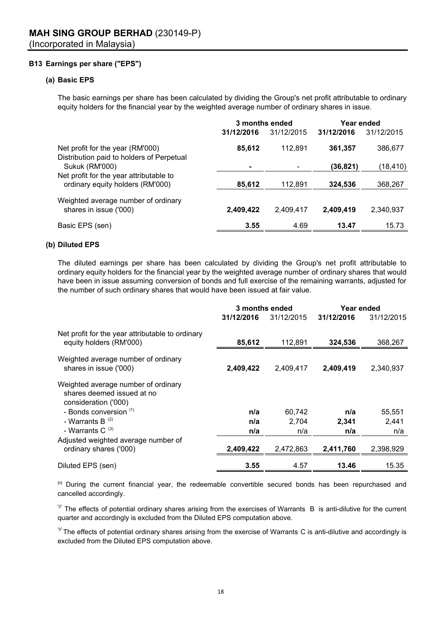# **B13 Earnings per share ("EPS")**

# **(a) Basic EPS**

The basic earnings per share has been calculated by dividing the Group's net profit attributable to ordinary equity holders for the financial year by the weighted average number of ordinary shares in issue.

|                                                                               | 3 months ended |            | Year ended |            |
|-------------------------------------------------------------------------------|----------------|------------|------------|------------|
|                                                                               | 31/12/2016     | 31/12/2015 | 31/12/2016 | 31/12/2015 |
| Net profit for the year (RM'000)<br>Distribution paid to holders of Perpetual | 85,612         | 112.891    | 361,357    | 386,677    |
| <b>Sukuk (RM'000)</b>                                                         | $\blacksquare$ |            | (36, 821)  | (18, 410)  |
| Net profit for the year attributable to                                       |                |            |            |            |
| ordinary equity holders (RM'000)                                              | 85,612         | 112,891    | 324,536    | 368,267    |
| Weighted average number of ordinary<br>shares in issue ('000)                 | 2,409,422      | 2,409,417  | 2,409,419  | 2,340,937  |
|                                                                               |                |            |            |            |
| Basic EPS (sen)                                                               | 3.55           | 4.69       | 13.47      | 15.73      |

### **(b) Diluted EPS**

The diluted earnings per share has been calculated by dividing the Group's net profit attributable to ordinary equity holders for the financial year by the weighted average number of ordinary shares that would have been in issue assuming conversion of bonds and full exercise of the remaining warrants, adjusted for the number of such ordinary shares that would have been issued at fair value.

|                                                                                           | 3 months ended |            | Year ended |            |
|-------------------------------------------------------------------------------------------|----------------|------------|------------|------------|
|                                                                                           | 31/12/2016     | 31/12/2015 | 31/12/2016 | 31/12/2015 |
| Net profit for the year attributable to ordinary<br>equity holders (RM'000)               | 85,612         | 112.891    | 324,536    | 368,267    |
| Weighted average number of ordinary<br>shares in issue ('000)                             | 2,409,422      | 2,409,417  | 2,409,419  | 2,340,937  |
| Weighted average number of ordinary<br>shares deemed issued at no<br>consideration ('000) |                |            |            |            |
| - Bonds conversion (1)                                                                    | n/a            | 60,742     | n/a        | 55,551     |
| - Warrants B $(2)$                                                                        | n/a            | 2.704      | 2.341      | 2,441      |
| - Warrants C $(3)$                                                                        | n/a            | n/a        | n/a        | n/a        |
| Adjusted weighted average number of                                                       |                |            |            |            |
| ordinary shares ('000)                                                                    | 2,409,422      | 2,472,863  | 2,411,760  | 2,398,929  |
| Diluted EPS (sen)                                                                         | 3.55           | 4.57       | 13.46      | 15.35      |

<sup>(1)</sup> During the current financial year, the redeemable convertible secured bonds has been repurchased and cancelled accordingly.

 $^{2}$  The effects of potential ordinary shares arising from the exercises of Warrants B is anti-dilutive for the current quarter and accordingly is excluded from the Diluted EPS computation above.

<sup>(3)</sup> The effects of potential ordinary shares arising from the exercise of Warrants C is anti-dilutive and accordingly is excluded from the Diluted EPS computation above.